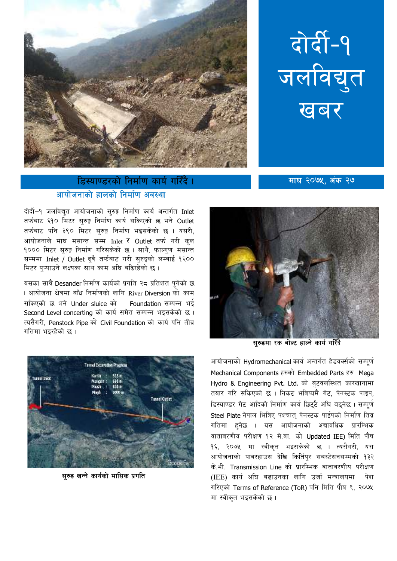

## डिस्याण्डरको निर्माण कार्य गरिँदै । आयोजनाको हालको निर्माण अवस्था

दोर्दी-१<br>जलविद्युत खबर

माघ २०७५, अंक २७

दोर्दी-१ जलविद्यत आयोजनाको सरुङ्ग निर्माण कार्य अन्तर्गत Inlet तर्फबाट ६१० मिटर सुरुङ्ग निर्माण कार्य सकिएको छ भने Outlet तर्फबाट पनि ३९० मिटर सरुङ्ग निर्माण भइसकेको छ । यसरी. आयोजनाले माघ मसान्त सम्म Inlet र Outlet तर्फ गरी क्ल १००० मिटर सुरुङ्ग निर्माण गरिसकेको छ । साथै, फाल्गुण मसान्त सम्ममा Inlet / Outlet दुवै तर्फबाट गरी सुरुङ्गको लम्बाई १२०० मिटर पऱ्याउने लक्ष्यका साथ काम अघि बढिरहेको छ।

यसका साथै Desander निर्माण कार्यको प्रगति २८ प्रतिशत पुगेको छ । आयोजना क्षेत्रमा बाँध निर्माणको लागि River Diversion को काम सकिएको छ भने Under sluice को Foundation सम्पन्न भई Second Level concerting को कार्य समेत सम्पन्न भइसकेको छ। त्यसैगरी, Penstock Pipe को Civil Foundation को कार्य पनि तीव्र गतिमा भइरहेको छ।



सुरुड खन्ने कार्यको मासिक प्रगति



सुरुडमा रक वोल्ट हाल्ने कार्य गरिँदै

आयोजनाको Hydromechanical कार्य अन्तर्गत हेडवर्क्सको सम्पूर्ण Mechanical Components हरुको Embedded Parts हरु Mega Hydro & Engineering Pyt. Ltd. को बटवलस्थित कारखानामा तयार गरि सकिएको छ । निकट भविष्यमै गेट, पेनस्टक पाइप, डिस्याण्डर गेट आदिको निर्माण कार्य छिटटै अधि बढनेछ । सम्पर्ण Steel Plate नेपाल भित्रिए पश्चात् पेनस्टक पाईपको निर्माण तिब्र गतिमा हुनेछ । यस आयोजनाको अद्यावधिक प्रारम्भिक वातावरणीय परीक्षण १२ मे.वा. को Updated IEE) मिति पौष १६, २०७५ मा स्वीकृत भइसकेको छ । त्यसैगरी, यस आयोजनाको पावरहाउस देखि किर्तिपुर सबस्टेसनसम्मको १३२ के.भी. Transmission Line को प्रारम्भिक वातावरणीय परीक्षण (IEE) कार्य अघि बढाउनका लागि उर्जा मन्त्रालयमा पेश गरिएको Terms of Reference (ToR) पनि मिति पौष ९, २०७५ मा स्वीकृत भइसकेको छ।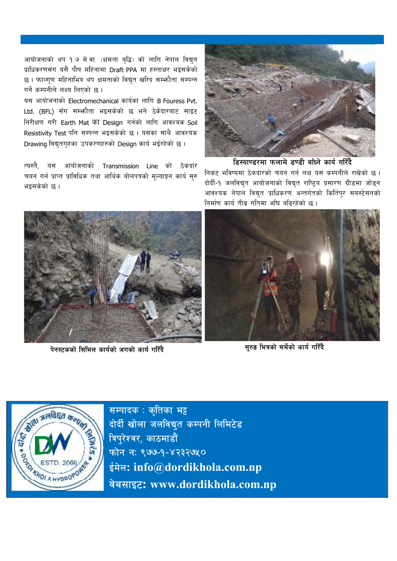आयोजनाको थप १.७ मे.वा. (क्षमता बुद्धि) को लागि नेपाल विद्युत प्राधिकरणसंग यसै पौष महिनामा Draft PPA मा हस्ताक्षर भइसकेको छ। फाल्गण महिनाभित्र थप क्षमताको विद्युत खरिद सम्भौता सम्पन्न गर्ने कम्पनीले लक्ष्य लिएको छ ।

यस आयोजनाको Electromechanical कार्यका लागि B Fouress Pvt. Ltd. (BFL) सँग सम्भ्कौता भइसकेको छ भने ठेकेदारबाट साइट निरीक्षण गरी Earth Mat का Design गर्नको लागि आवश्यक Soil Resistivity Test पनि सम्पन्न भइसकेको छ । यसका साथै आवश्यक Drawing विद्युतगृहका उपकरणहरुको Design कार्य भईरहेको छ।

त्यस्तै. यस आयोजनाको Transmission Line को ठेकदार चयन गर्न प्राप्त प्राविधिक तथा आर्थिक बोलपत्रको मुल्याङ्कन कार्य सुरु भइसकेको छ ।



डिस्याण्डरमा फलामे डण्डी बाँध्ने कार्य गरिँदै

निकट भविष्यमा ठेकदारको चयन गर्न लक्ष यस कम्पनीले राखेको छ । दोर्दी-१ जलविद्युत आयोजनाको विद्युत राष्ट्रिय प्रसारण ग्रीडमा जोड्न आवश्यक नेपाल विद्युत प्राधिकरण अन्तर्गतको किर्तिपुर सबस्टेसनको निर्माण कार्य तीब्र गतिमा अघि बढिरहेको छ।



पेनस्टकको सिभिल कार्यको जगको कार्य गरिँदै



सुरुड भित्रको सर्भेको कार्य गरिँदै



सम्पादक: कृतिका भट्ट दोर्दी खोला जलविद्युत कम्पनी लिमिटेड त्रिपुरेश्वर, काठमाडौं फोन नः ९७७-१-४२३२७५० ईमेल: info@dordikhola.com.np वेबसाइट: www.dordikhola.com.np